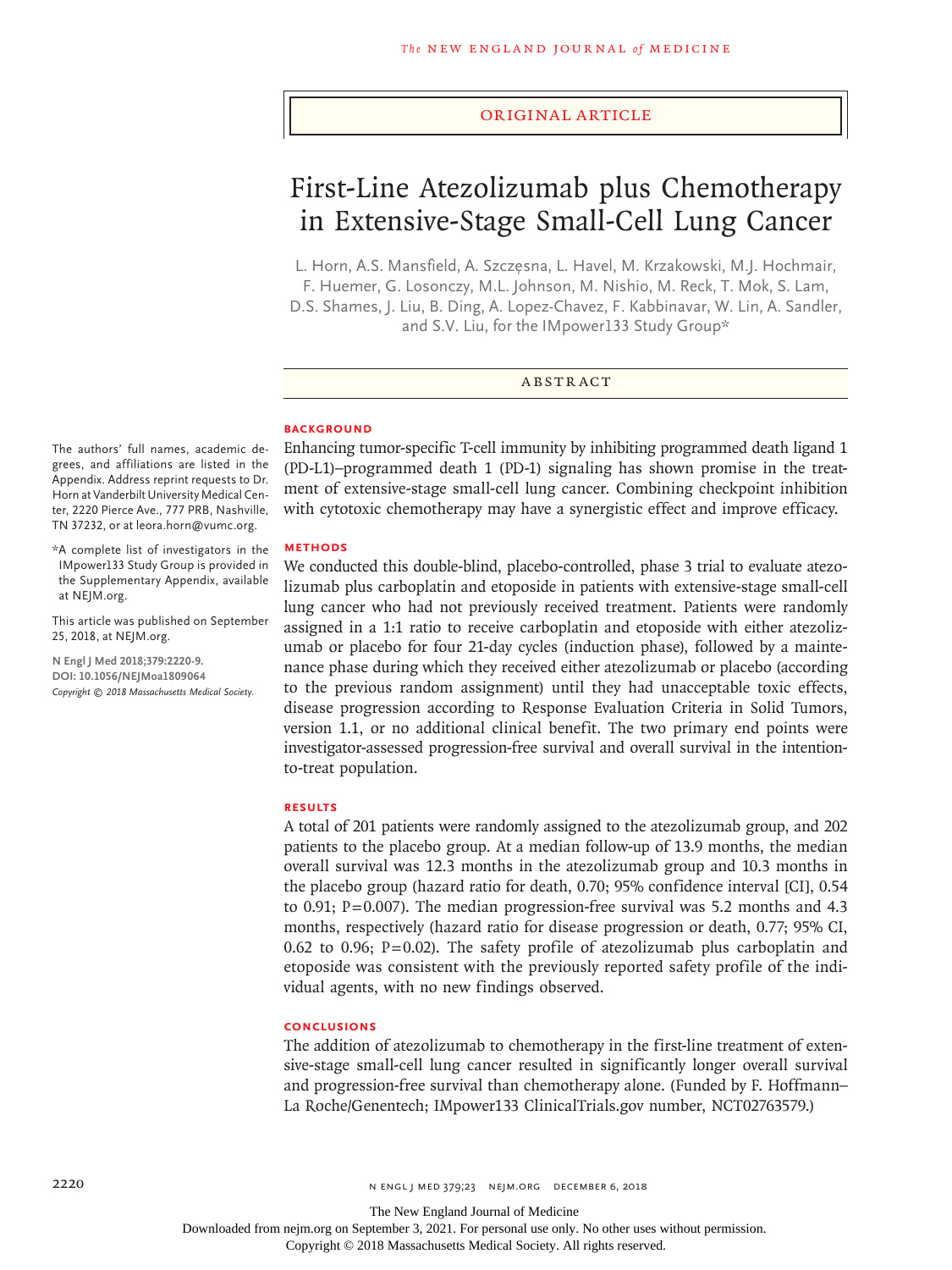## Original Article

# First-Line Atezolizumab plus Chemotherapy in Extensive-Stage Small-Cell Lung Cancer

L. Horn, A.S. Mansfield, A. Szczęsna, L. Havel, M. Krzakowski, M.J. Hochmair, F. Huemer, G. Losonczy, M.L. Johnson, M. Nishio, M. Reck, T. Mok, S. Lam, D.S. Shames, J. Liu, B. Ding, A. Lopez‑Chavez, F. Kabbinavar, W. Lin, A. Sandler, and S.V. Liu, for the IMpower133 Study Group\*

## ABSTRACT

## **BACKGROUND**

The authors' full names, academic degrees, and affiliations are listed in the Appendix. Address reprint requests to Dr. Horn at Vanderbilt University Medical Center, 2220 Pierce Ave., 777 PRB, Nashville, TN 37232, or at leora.horn@vumc.org.

\*A complete list of investigators in the IMpower133 Study Group is provided in the Supplementary Appendix, available at NEJM.org.

This article was published on September 25, 2018, at NEJM.org.

**N Engl J Med 2018;379:2220-9. DOI: 10.1056/NEJMoa1809064** *Copyright © 2018 Massachusetts Medical Society.* Enhancing tumor-specific T-cell immunity by inhibiting programmed death ligand 1 (PD-L1)–programmed death 1 (PD-1) signaling has shown promise in the treatment of extensive-stage small-cell lung cancer. Combining checkpoint inhibition with cytotoxic chemotherapy may have a synergistic effect and improve efficacy.

#### **METHODS**

We conducted this double-blind, placebo-controlled, phase 3 trial to evaluate atezolizumab plus carboplatin and etoposide in patients with extensive-stage small-cell lung cancer who had not previously received treatment. Patients were randomly assigned in a 1:1 ratio to receive carboplatin and etoposide with either atezolizumab or placebo for four 21-day cycles (induction phase), followed by a maintenance phase during which they received either atezolizumab or placebo (according to the previous random assignment) until they had unacceptable toxic effects, disease progression according to Response Evaluation Criteria in Solid Tumors, version 1.1, or no additional clinical benefit. The two primary end points were investigator-assessed progression-free survival and overall survival in the intentionto-treat population.

## **RESULTS**

A total of 201 patients were randomly assigned to the atezolizumab group, and 202 patients to the placebo group. At a median follow-up of 13.9 months, the median overall survival was 12.3 months in the atezolizumab group and 10.3 months in the placebo group (hazard ratio for death, 0.70; 95% confidence interval [CI], 0.54 to 0.91;  $P=0.007$ ). The median progression-free survival was 5.2 months and 4.3 months, respectively (hazard ratio for disease progression or death, 0.77; 95% CI, 0.62 to 0.96;  $P=0.02$ ). The safety profile of atezolizumab plus carboplatin and etoposide was consistent with the previously reported safety profile of the individual agents, with no new findings observed.

# **CONCLUSIONS**

The addition of atezolizumab to chemotherapy in the first-line treatment of extensive-stage small-cell lung cancer resulted in significantly longer overall survival and progression-free survival than chemotherapy alone. (Funded by F. Hoffmann– La Roche/Genentech; IMpower133 ClinicalTrials.gov number, NCT02763579.)

The New England Journal of Medicine

Downloaded from nejm.org on September 3, 2021. For personal use only. No other uses without permission.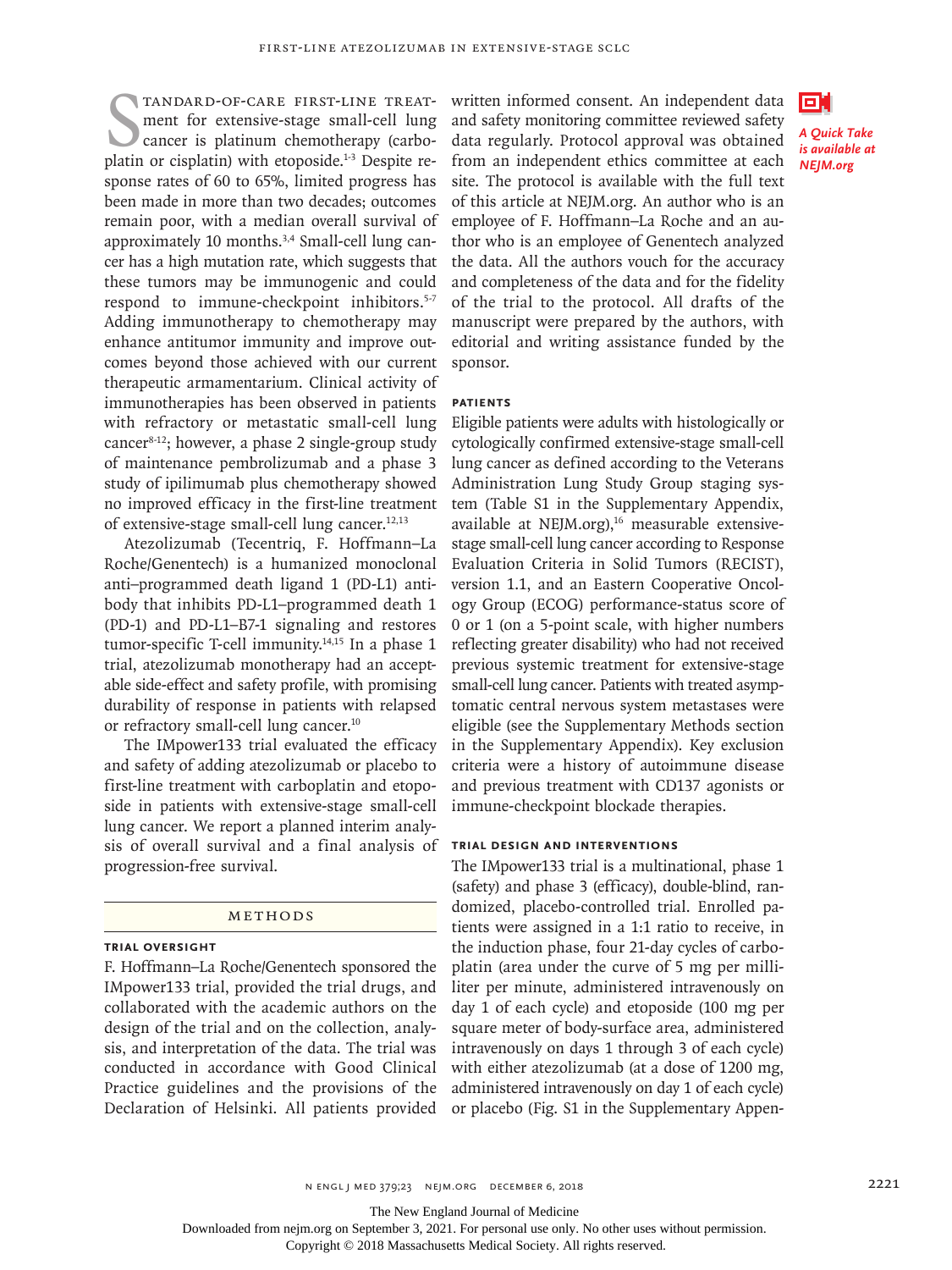TANDARD-OF-CARE FIRST-LINE TREAT-<br>ment for extensive-stage small-cell lung<br>cancer is platinum chemotherapy (carbo-<br>platin or cisplatin) with etoposide.<sup>1-3</sup> Despite retandard-of-care first-line treatment for extensive-stage small-cell lung cancer is platinum chemotherapy (carbosponse rates of 60 to 65%, limited progress has been made in more than two decades; outcomes remain poor, with a median overall survival of approximately 10 months.3,4 Small-cell lung cancer has a high mutation rate, which suggests that these tumors may be immunogenic and could respond to immune-checkpoint inhibitors.<sup>5-7</sup> Adding immunotherapy to chemotherapy may enhance antitumor immunity and improve outcomes beyond those achieved with our current therapeutic armamentarium. Clinical activity of immunotherapies has been observed in patients with refractory or metastatic small-cell lung cancer<sup>8-12</sup>; however, a phase 2 single-group study of maintenance pembrolizumab and a phase 3 study of ipilimumab plus chemotherapy showed no improved efficacy in the first-line treatment of extensive-stage small-cell lung cancer.12,13

Atezolizumab (Tecentriq, F. Hoffmann–La Roche/Genentech) is a humanized monoclonal anti–programmed death ligand 1 (PD-L1) antibody that inhibits PD-L1–programmed death 1 (PD-1) and PD-L1–B7-1 signaling and restores tumor-specific T-cell immunity.<sup>14,15</sup> In a phase 1 trial, atezolizumab monotherapy had an acceptable side-effect and safety profile, with promising durability of response in patients with relapsed or refractory small-cell lung cancer.<sup>10</sup>

The IMpower133 trial evaluated the efficacy and safety of adding atezolizumab or placebo to first-line treatment with carboplatin and etoposide in patients with extensive-stage small-cell lung cancer. We report a planned interim analysis of overall survival and a final analysis of progression-free survival.

## Methods

# **Trial Oversight**

F. Hoffmann–La Roche/Genentech sponsored the IMpower133 trial, provided the trial drugs, and collaborated with the academic authors on the design of the trial and on the collection, analysis, and interpretation of the data. The trial was conducted in accordance with Good Clinical Practice guidelines and the provisions of the Declaration of Helsinki. All patients provided written informed consent. An independent data and safety monitoring committee reviewed safety data regularly. Protocol approval was obtained from an independent ethics committee at each site. The protocol is available with the full text of this article at NEJM.org. An author who is an employee of F. Hoffmann–La Roche and an author who is an employee of Genentech analyzed the data. All the authors vouch for the accuracy and completeness of the data and for the fidelity of the trial to the protocol. All drafts of the manuscript were prepared by the authors, with editorial and writing assistance funded by the sponsor.

#### **Patients**

Eligible patients were adults with histologically or cytologically confirmed extensive-stage small-cell lung cancer as defined according to the Veterans Administration Lung Study Group staging system (Table S1 in the Supplementary Appendix, available at NEJM.org),<sup>16</sup> measurable extensivestage small-cell lung cancer according to Response Evaluation Criteria in Solid Tumors (RECIST), version 1.1, and an Eastern Cooperative Oncology Group (ECOG) performance-status score of 0 or 1 (on a 5-point scale, with higher numbers reflecting greater disability) who had not received previous systemic treatment for extensive-stage small-cell lung cancer. Patients with treated asymptomatic central nervous system metastases were eligible (see the Supplementary Methods section in the Supplementary Appendix). Key exclusion criteria were a history of autoimmune disease and previous treatment with CD137 agonists or immune-checkpoint blockade therapies.

## **Trial Design and Interventions**

The IMpower133 trial is a multinational, phase 1 (safety) and phase 3 (efficacy), double-blind, randomized, placebo-controlled trial. Enrolled patients were assigned in a 1:1 ratio to receive, in the induction phase, four 21-day cycles of carboplatin (area under the curve of 5 mg per milliliter per minute, administered intravenously on day 1 of each cycle) and etoposide (100 mg per square meter of body-surface area, administered intravenously on days 1 through 3 of each cycle) with either atezolizumab (at a dose of 1200 mg, administered intravenously on day 1 of each cycle) or placebo (Fig. S1 in the Supplementary Appen-

n engl j med 379;23 nejm.org December 6, 2018 2221

*A Quick Take is available at NEJM.org*

FТ

The New England Journal of Medicine

Downloaded from nejm.org on September 3, 2021. For personal use only. No other uses without permission.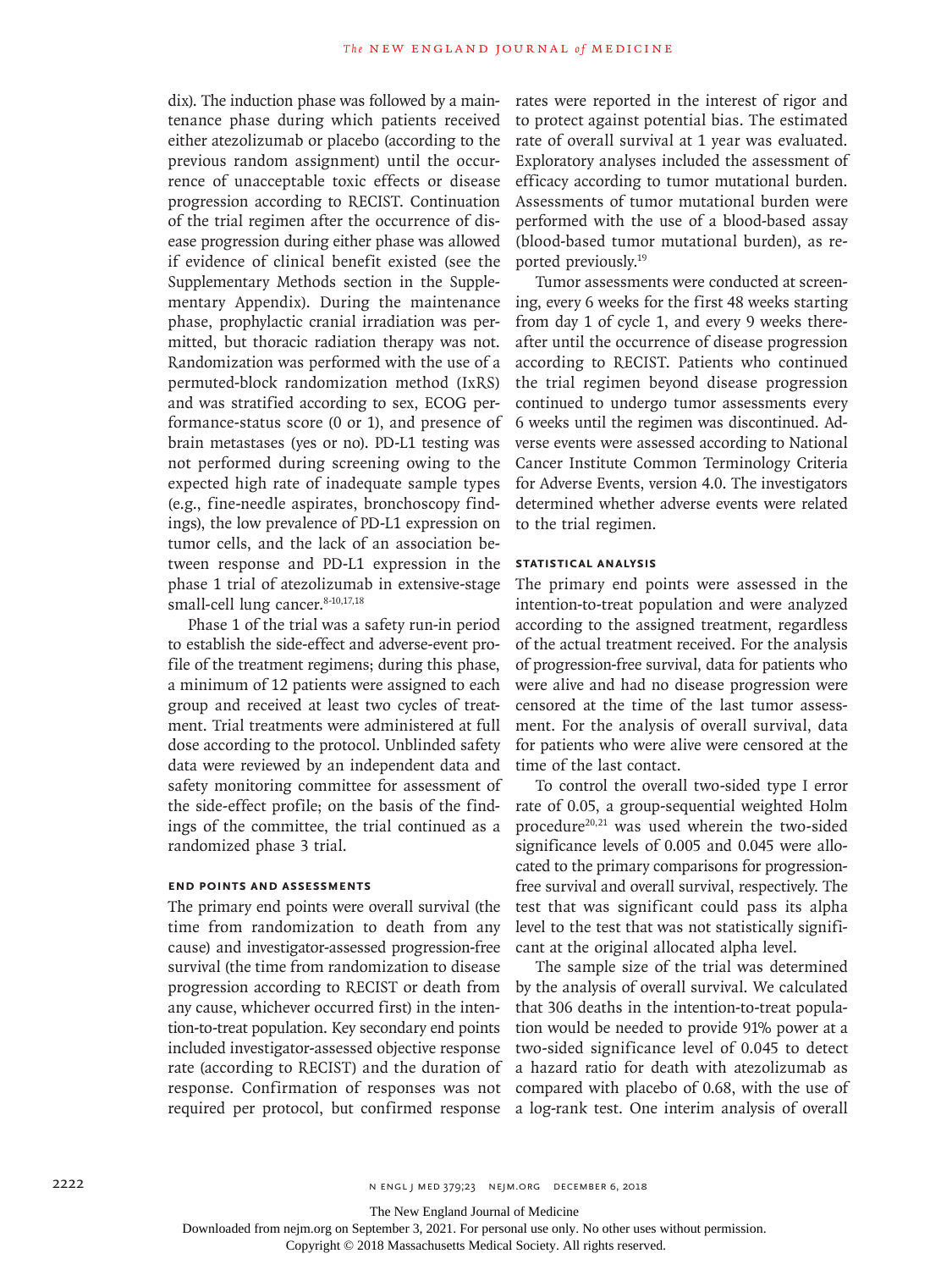dix). The induction phase was followed by a maintenance phase during which patients received either atezolizumab or placebo (according to the previous random assignment) until the occurrence of unacceptable toxic effects or disease progression according to RECIST. Continuation of the trial regimen after the occurrence of disease progression during either phase was allowed if evidence of clinical benefit existed (see the Supplementary Methods section in the Supplementary Appendix). During the maintenance phase, prophylactic cranial irradiation was permitted, but thoracic radiation therapy was not. Randomization was performed with the use of a permuted-block randomization method (IxRS) and was stratified according to sex, ECOG performance-status score (0 or 1), and presence of brain metastases (yes or no). PD-L1 testing was not performed during screening owing to the expected high rate of inadequate sample types (e.g., fine-needle aspirates, bronchoscopy findings), the low prevalence of PD-L1 expression on tumor cells, and the lack of an association between response and PD-L1 expression in the phase 1 trial of atezolizumab in extensive-stage small-cell lung cancer.<sup>8-10,17,18</sup>

Phase 1 of the trial was a safety run-in period to establish the side-effect and adverse-event profile of the treatment regimens; during this phase, a minimum of 12 patients were assigned to each group and received at least two cycles of treatment. Trial treatments were administered at full dose according to the protocol. Unblinded safety data were reviewed by an independent data and safety monitoring committee for assessment of the side-effect profile; on the basis of the findings of the committee, the trial continued as a randomized phase 3 trial.

## **End Points and Assessments**

The primary end points were overall survival (the time from randomization to death from any cause) and investigator-assessed progression-free survival (the time from randomization to disease progression according to RECIST or death from any cause, whichever occurred first) in the intention-to-treat population. Key secondary end points included investigator-assessed objective response rate (according to RECIST) and the duration of response. Confirmation of responses was not required per protocol, but confirmed response

rates were reported in the interest of rigor and to protect against potential bias. The estimated rate of overall survival at 1 year was evaluated. Exploratory analyses included the assessment of efficacy according to tumor mutational burden. Assessments of tumor mutational burden were performed with the use of a blood-based assay (blood-based tumor mutational burden), as reported previously.19

Tumor assessments were conducted at screening, every 6 weeks for the first 48 weeks starting from day 1 of cycle 1, and every 9 weeks thereafter until the occurrence of disease progression according to RECIST. Patients who continued the trial regimen beyond disease progression continued to undergo tumor assessments every 6 weeks until the regimen was discontinued. Adverse events were assessed according to National Cancer Institute Common Terminology Criteria for Adverse Events, version 4.0. The investigators determined whether adverse events were related to the trial regimen.

# **Statistical Analysis**

The primary end points were assessed in the intention-to-treat population and were analyzed according to the assigned treatment, regardless of the actual treatment received. For the analysis of progression-free survival, data for patients who were alive and had no disease progression were censored at the time of the last tumor assessment. For the analysis of overall survival, data for patients who were alive were censored at the time of the last contact.

To control the overall two-sided type I error rate of 0.05, a group-sequential weighted Holm procedure20,21 was used wherein the two-sided significance levels of 0.005 and 0.045 were allocated to the primary comparisons for progressionfree survival and overall survival, respectively. The test that was significant could pass its alpha level to the test that was not statistically significant at the original allocated alpha level.

The sample size of the trial was determined by the analysis of overall survival. We calculated that 306 deaths in the intention-to-treat population would be needed to provide 91% power at a two-sided significance level of 0.045 to detect a hazard ratio for death with atezolizumab as compared with placebo of 0.68, with the use of a log-rank test. One interim analysis of overall

The New England Journal of Medicine

Downloaded from nejm.org on September 3, 2021. For personal use only. No other uses without permission.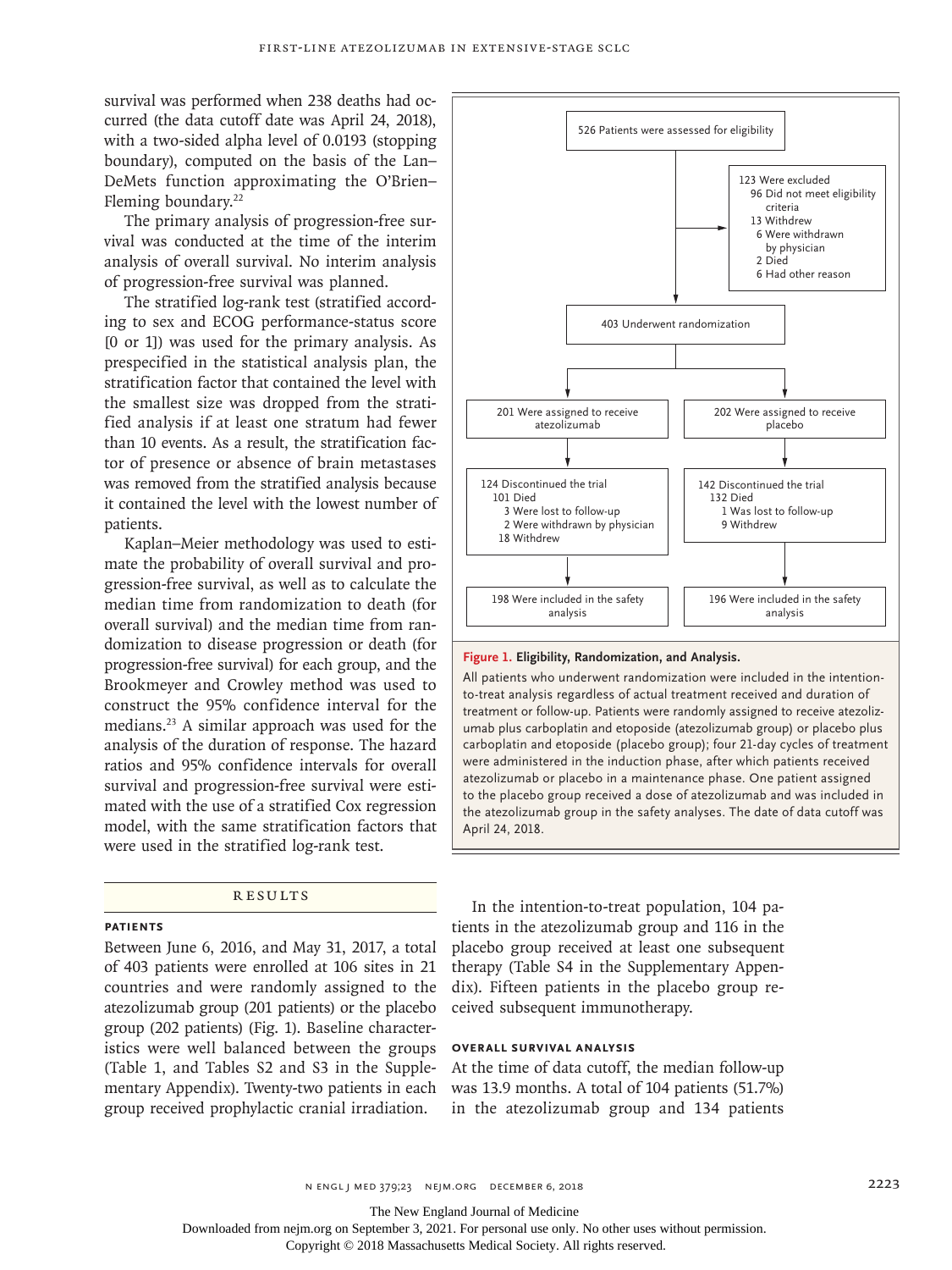survival was performed when 238 deaths had occurred (the data cutoff date was April 24, 2018), with a two-sided alpha level of 0.0193 (stopping boundary), computed on the basis of the Lan– DeMets function approximating the O'Brien– Fleming boundary.<sup>22</sup>

The primary analysis of progression-free survival was conducted at the time of the interim analysis of overall survival. No interim analysis of progression-free survival was planned.

The stratified log-rank test (stratified according to sex and ECOG performance-status score [0 or 1]) was used for the primary analysis. As prespecified in the statistical analysis plan, the stratification factor that contained the level with the smallest size was dropped from the stratified analysis if at least one stratum had fewer than 10 events. As a result, the stratification factor of presence or absence of brain metastases was removed from the stratified analysis because it contained the level with the lowest number of patients.

Kaplan–Meier methodology was used to estimate the probability of overall survival and progression-free survival, as well as to calculate the median time from randomization to death (for overall survival) and the median time from randomization to disease progression or death (for progression-free survival) for each group, and the Brookmeyer and Crowley method was used to construct the 95% confidence interval for the medians.23 A similar approach was used for the analysis of the duration of response. The hazard ratios and 95% confidence intervals for overall survival and progression-free survival were estimated with the use of a stratified Cox regression model, with the same stratification factors that were used in the stratified log-rank test.

#### **RESULTS**

# **Patients**

Between June 6, 2016, and May 31, 2017, a total of 403 patients were enrolled at 106 sites in 21 countries and were randomly assigned to the atezolizumab group (201 patients) or the placebo group (202 patients) (Fig. 1). Baseline characteristics were well balanced between the groups (Table 1, and Tables S2 and S3 in the Supplementary Appendix). Twenty-two patients in each group received prophylactic cranial irradiation.



#### **Figure 1. Eligibility, Randomization, and Analysis.**

All patients who underwent randomization were included in the intentionto-treat analysis regardless of actual treatment received and duration of treatment or follow-up. Patients were randomly assigned to receive atezolizumab plus carboplatin and etoposide (atezolizumab group) or placebo plus carboplatin and etoposide (placebo group); four 21-day cycles of treatment were administered in the induction phase, after which patients received atezolizumab or placebo in a maintenance phase. One patient assigned to the placebo group received a dose of atezolizumab and was included in the atezolizumab group in the safety analyses. The date of data cutoff was April 24, 2018.

In the intention-to-treat population, 104 patients in the atezolizumab group and 116 in the placebo group received at least one subsequent therapy (Table S4 in the Supplementary Appendix). Fifteen patients in the placebo group received subsequent immunotherapy.

# **Overall Survival Analysis**

At the time of data cutoff, the median follow-up was 13.9 months. A total of 104 patients (51.7%) in the atezolizumab group and 134 patients

n engl j med 379;23 nejm.org December 6, 2018 2223

The New England Journal of Medicine

Downloaded from nejm.org on September 3, 2021. For personal use only. No other uses without permission.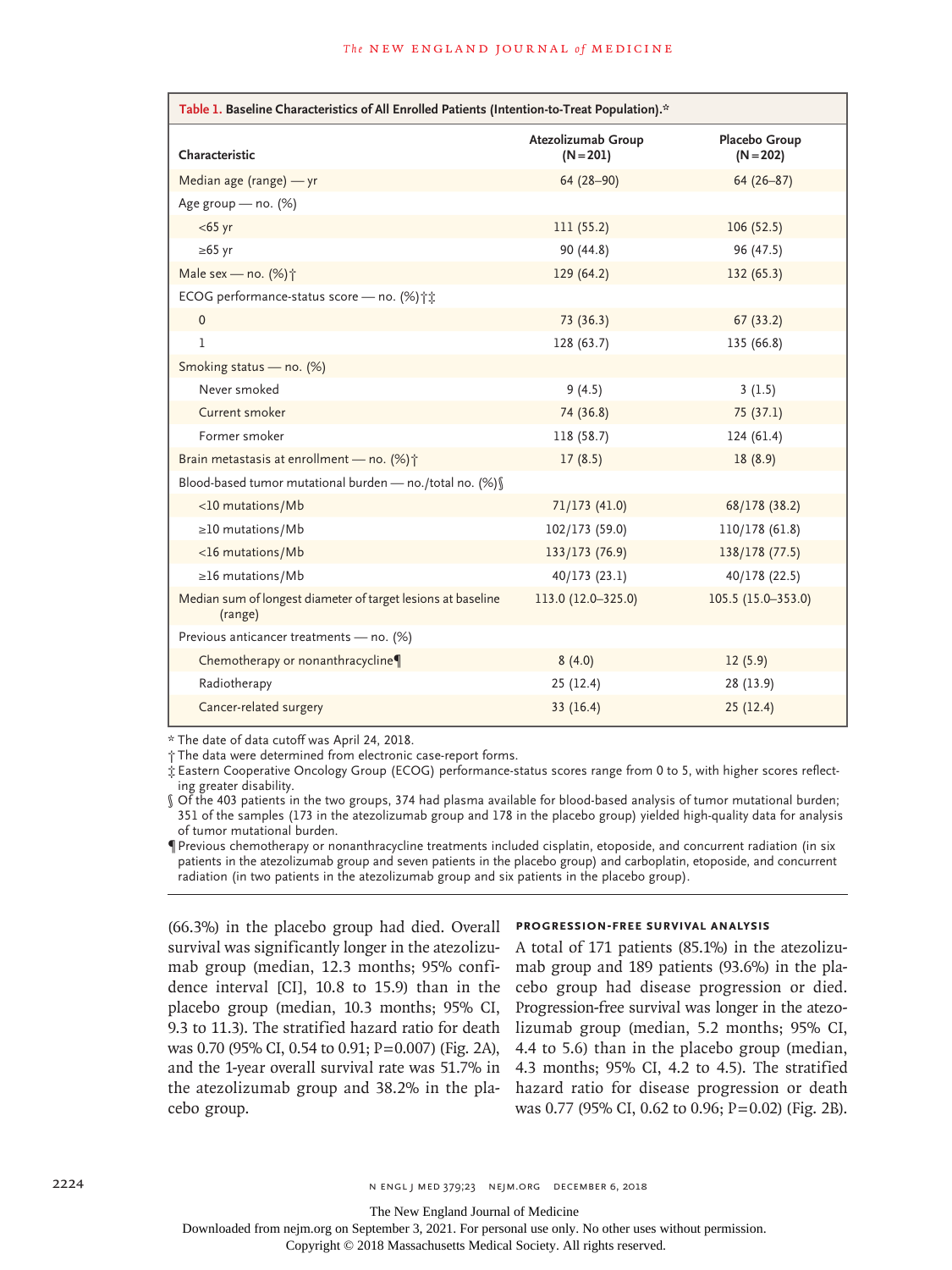| Table 1. Baseline Characteristics of All Enrolled Patients (Intention-to-Treat Population).* |                                   |                              |  |  |  |
|----------------------------------------------------------------------------------------------|-----------------------------------|------------------------------|--|--|--|
| Characteristic                                                                               | Atezolizumab Group<br>$(N = 201)$ | Placebo Group<br>$(N = 202)$ |  |  |  |
| Median age (range) - yr                                                                      | 64 (28-90)                        | $64(26-87)$                  |  |  |  |
| Age group - no. (%)                                                                          |                                   |                              |  |  |  |
| $<$ 65 yr                                                                                    | 111(55.2)                         | 106(52.5)                    |  |  |  |
| $\geq 65$ yr                                                                                 | 90 (44.8)<br>96 (47.5)            |                              |  |  |  |
| Male sex - no. (%) <sup>+</sup>                                                              | 129 (64.2)                        | 132(65.3)                    |  |  |  |
| ECOG performance-status score - no. (%) †*                                                   |                                   |                              |  |  |  |
| $\mathbf 0$                                                                                  | 73(36.3)                          | 67(33.2)                     |  |  |  |
| $\mathbf{1}$                                                                                 | 128 (63.7)                        | 135 (66.8)                   |  |  |  |
| Smoking status - no. (%)                                                                     |                                   |                              |  |  |  |
| Never smoked                                                                                 | 9(4.5)                            | 3(1.5)                       |  |  |  |
| Current smoker                                                                               | 74 (36.8)                         | 75(37.1)                     |  |  |  |
| Former smoker                                                                                | 118 (58.7)                        | 124(61.4)                    |  |  |  |
| Brain metastasis at enrollment - no. (%) +                                                   | 17(8.5)                           | 18(8.9)                      |  |  |  |
| Blood-based tumor mutational burden - no./total no. (%) [                                    |                                   |                              |  |  |  |
| <10 mutations/Mb                                                                             | 71/173(41.0)                      | 68/178 (38.2)                |  |  |  |
| $\geq$ 10 mutations/Mb                                                                       | 102/173(59.0)                     | 110/178 (61.8)               |  |  |  |
| <16 mutations/Mb                                                                             | 133/173 (76.9)                    | 138/178 (77.5)               |  |  |  |
| $\geq$ 16 mutations/Mb                                                                       | 40/173(23.1)                      | 40/178 (22.5)                |  |  |  |
| Median sum of longest diameter of target lesions at baseline<br>(range)                      | 113.0 (12.0-325.0)                | 105.5 (15.0-353.0)           |  |  |  |
| Previous anticancer treatments - no. (%)                                                     |                                   |                              |  |  |  |
| Chemotherapy or nonanthracycline¶                                                            | 8(4.0)                            | 12(5.9)                      |  |  |  |
| Radiotherapy                                                                                 | 25(12.4)                          | 28 (13.9)                    |  |  |  |
| Cancer-related surgery                                                                       | 33 (16.4)                         | 25(12.4)                     |  |  |  |

\* The date of data cutoff was April 24, 2018.

† The data were determined from electronic case-report forms.

‡ Eastern Cooperative Oncology Group (ECOG) performance-status scores range from 0 to 5, with higher scores reflect‑ ing greater disability.

§ Of the 403 patients in the two groups, 374 had plasma available for blood-based analysis of tumor mutational burden; 351 of the samples (173 in the atezolizumab group and 178 in the placebo group) yielded high-quality data for analysis of tumor mutational burden.

¶ Previous chemotherapy or nonanthracycline treatments included cisplatin, etoposide, and concurrent radiation (in six patients in the atezolizumab group and seven patients in the placebo group) and carboplatin, etoposide, and concurrent radiation (in two patients in the atezolizumab group and six patients in the placebo group).

(66.3%) in the placebo group had died. Overall survival was significantly longer in the atezolizumab group (median, 12.3 months; 95% confidence interval [CI], 10.8 to 15.9) than in the placebo group (median, 10.3 months; 95% CI, 9.3 to 11.3). The stratified hazard ratio for death was 0.70 (95% CI, 0.54 to 0.91; P=0.007) (Fig. 2A), and the 1-year overall survival rate was 51.7% in the atezolizumab group and 38.2% in the placebo group.

#### **Progression-free Survival Analysis**

A total of 171 patients (85.1%) in the atezolizumab group and 189 patients (93.6%) in the placebo group had disease progression or died. Progression-free survival was longer in the atezolizumab group (median, 5.2 months; 95% CI, 4.4 to 5.6) than in the placebo group (median, 4.3 months; 95% CI, 4.2 to 4.5). The stratified hazard ratio for disease progression or death was 0.77 (95% CI, 0.62 to 0.96; P=0.02) (Fig. 2B).

Downloaded from nejm.org on September 3, 2021. For personal use only. No other uses without permission.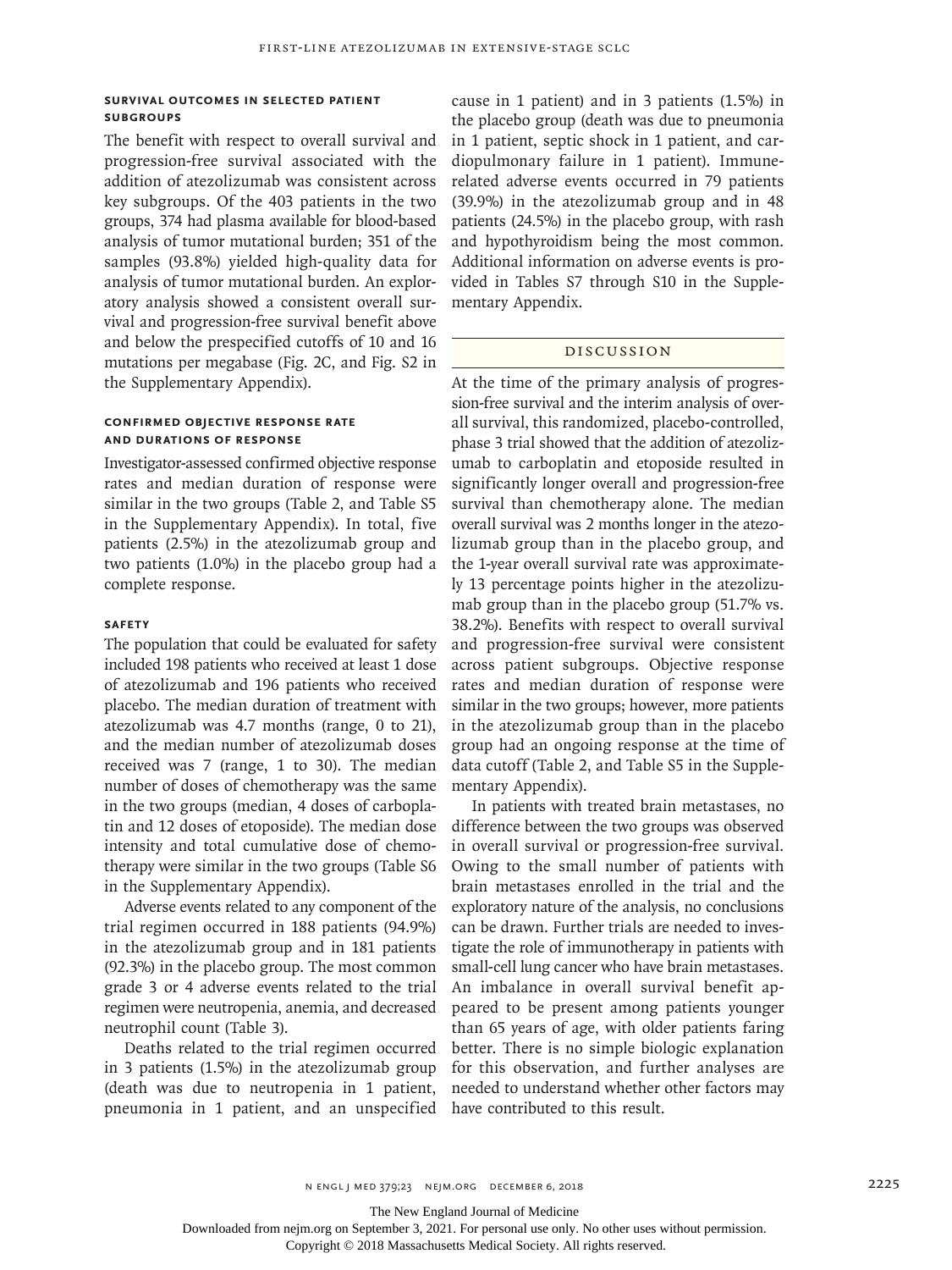# **Survival Outcomes in Selected Patient Subgroups**

The benefit with respect to overall survival and progression-free survival associated with the addition of atezolizumab was consistent across key subgroups. Of the 403 patients in the two groups, 374 had plasma available for blood-based analysis of tumor mutational burden; 351 of the samples (93.8%) yielded high-quality data for analysis of tumor mutational burden. An exploratory analysis showed a consistent overall survival and progression-free survival benefit above and below the prespecified cutoffs of 10 and 16 mutations per megabase (Fig. 2C, and Fig. S2 in the Supplementary Appendix).

# **Confirmed Objective Response Rate and Durations of Response**

Investigator-assessed confirmed objective response rates and median duration of response were similar in the two groups (Table 2, and Table S5 in the Supplementary Appendix). In total, five patients (2.5%) in the atezolizumab group and two patients (1.0%) in the placebo group had a complete response.

# **Safety**

The population that could be evaluated for safety included 198 patients who received at least 1 dose of atezolizumab and 196 patients who received placebo. The median duration of treatment with atezolizumab was 4.7 months (range, 0 to 21), and the median number of atezolizumab doses received was 7 (range, 1 to 30). The median number of doses of chemotherapy was the same in the two groups (median, 4 doses of carboplatin and 12 doses of etoposide). The median dose intensity and total cumulative dose of chemotherapy were similar in the two groups (Table S6 in the Supplementary Appendix).

Adverse events related to any component of the trial regimen occurred in 188 patients (94.9%) in the atezolizumab group and in 181 patients (92.3%) in the placebo group. The most common grade 3 or 4 adverse events related to the trial regimen were neutropenia, anemia, and decreased neutrophil count (Table 3).

Deaths related to the trial regimen occurred in 3 patients (1.5%) in the atezolizumab group (death was due to neutropenia in 1 patient, pneumonia in 1 patient, and an unspecified cause in 1 patient) and in 3 patients (1.5%) in the placebo group (death was due to pneumonia in 1 patient, septic shock in 1 patient, and cardiopulmonary failure in 1 patient). Immunerelated adverse events occurred in 79 patients (39.9%) in the atezolizumab group and in 48 patients (24.5%) in the placebo group, with rash and hypothyroidism being the most common. Additional information on adverse events is provided in Tables S7 through S10 in the Supplementary Appendix.

# Discussion

At the time of the primary analysis of progression-free survival and the interim analysis of overall survival, this randomized, placebo-controlled, phase 3 trial showed that the addition of atezolizumab to carboplatin and etoposide resulted in significantly longer overall and progression-free survival than chemotherapy alone. The median overall survival was 2 months longer in the atezolizumab group than in the placebo group, and the 1-year overall survival rate was approximately 13 percentage points higher in the atezolizumab group than in the placebo group (51.7% vs. 38.2%). Benefits with respect to overall survival and progression-free survival were consistent across patient subgroups. Objective response rates and median duration of response were similar in the two groups; however, more patients in the atezolizumab group than in the placebo group had an ongoing response at the time of data cutoff (Table 2, and Table S5 in the Supplementary Appendix).

In patients with treated brain metastases, no difference between the two groups was observed in overall survival or progression-free survival. Owing to the small number of patients with brain metastases enrolled in the trial and the exploratory nature of the analysis, no conclusions can be drawn. Further trials are needed to investigate the role of immunotherapy in patients with small-cell lung cancer who have brain metastases. An imbalance in overall survival benefit appeared to be present among patients younger than 65 years of age, with older patients faring better. There is no simple biologic explanation for this observation, and further analyses are needed to understand whether other factors may have contributed to this result.

The New England Journal of Medicine

Downloaded from nejm.org on September 3, 2021. For personal use only. No other uses without permission.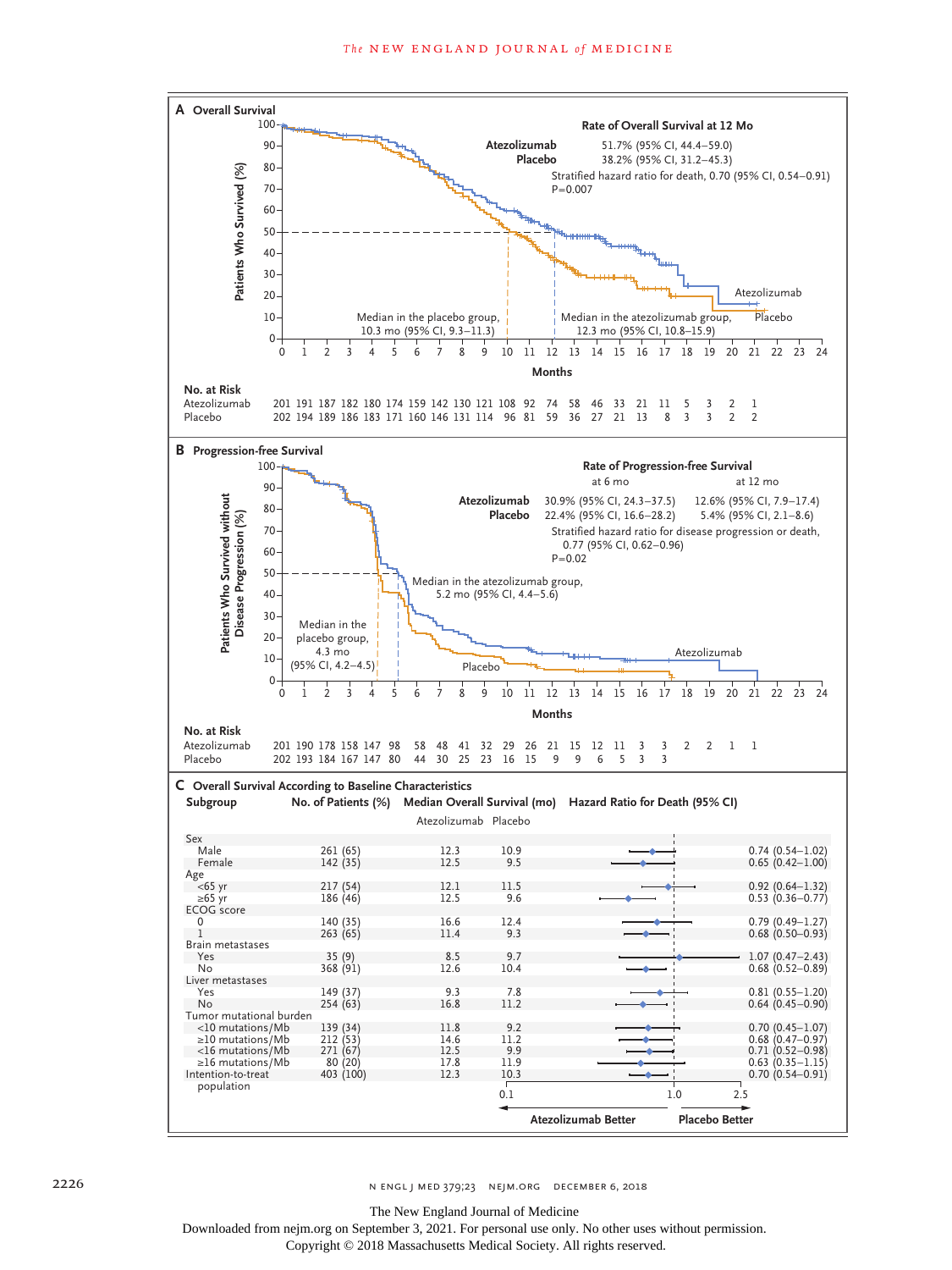

2226 **n** engl j med 379;23 NEIM.ORG DECEMBER 6, 2018

The New England Journal of Medicine

Downloaded from nejm.org on September 3, 2021. For personal use only. No other uses without permission.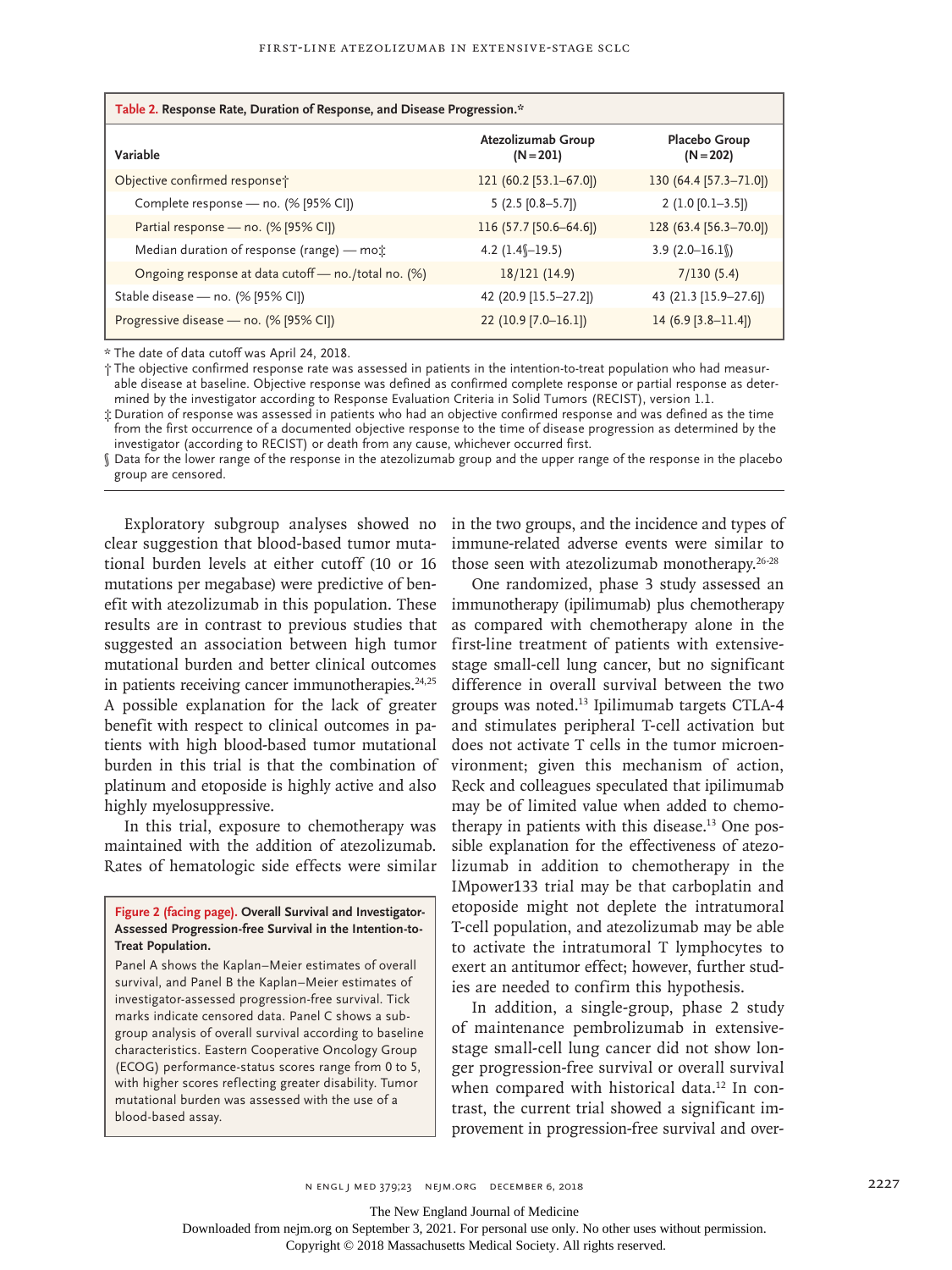| Table 2. Response Rate, Duration of Response, and Disease Progression.* |                                   |                              |  |  |  |  |
|-------------------------------------------------------------------------|-----------------------------------|------------------------------|--|--|--|--|
| Variable                                                                | Atezolizumab Group<br>$(N = 201)$ | Placebo Group<br>$(N = 202)$ |  |  |  |  |
| Objective confirmed response                                            | $121(60.2 [53.1 - 67.0])$         | 130 $(64.4 [57.3 - 71.0])$   |  |  |  |  |
| Complete response - no. (% [95% CI])                                    | $5(2.5[0.8-5.7])$                 | $2(1.0[0.1-3.5])$            |  |  |  |  |
| Partial response - no. (% [95% CI])                                     | 116 (57.7 [50.6–64.6])            | 128 (63.4 [56.3-70.0])       |  |  |  |  |
| Median duration of response (range) — mo $\ddot{x}$                     | 4.2 $(1.4)$ –19.5)                | $3.9(2.0-16.1)$              |  |  |  |  |
| Ongoing response at data cutoff - no./total no. (%)                     | 18/121 (14.9)                     | 7/130(5.4)                   |  |  |  |  |
| Stable disease - no. (% [95% CI])                                       | 42 (20.9 [15.5-27.2])             | 43 (21.3 [15.9–27.6])        |  |  |  |  |
| Progressive disease — no. (% [95% CI])                                  | $22(10.9 [7.0 - 16.1])$           | $14(6.9[3.8-11.4])$          |  |  |  |  |

\* The date of data cutoff was April 24, 2018.

† The objective confirmed response rate was assessed in patients in the intention-to-treat population who had measur‑ able disease at baseline. Objective response was defined as confirmed complete response or partial response as determined by the investigator according to Response Evaluation Criteria in Solid Tumors (RECIST), version 1.1.

‡ Duration of response was assessed in patients who had an objective confirmed response and was defined as the time from the first occurrence of a documented objective response to the time of disease progression as determined by the investigator (according to RECIST) or death from any cause, whichever occurred first.

§ Data for the lower range of the response in the atezolizumab group and the upper range of the response in the placebo group are censored.

clear suggestion that blood-based tumor mutational burden levels at either cutoff (10 or 16 mutations per megabase) were predictive of benefit with atezolizumab in this population. These results are in contrast to previous studies that suggested an association between high tumor mutational burden and better clinical outcomes in patients receiving cancer immunotherapies. $24,25$ A possible explanation for the lack of greater benefit with respect to clinical outcomes in patients with high blood-based tumor mutational burden in this trial is that the combination of platinum and etoposide is highly active and also highly myelosuppressive.

In this trial, exposure to chemotherapy was maintained with the addition of atezolizumab. Rates of hematologic side effects were similar

**Figure 2 (facing page). Overall Survival and Investigator-Assessed Progression-free Survival in the Intention-to-Treat Population.**

Panel A shows the Kaplan–Meier estimates of overall survival, and Panel B the Kaplan–Meier estimates of investigator-assessed progression-free survival. Tick marks indicate censored data. Panel C shows a subgroup analysis of overall survival according to baseline characteristics. Eastern Cooperative Oncology Group (ECOG) performance-status scores range from 0 to 5, with higher scores reflecting greater disability. Tumor mutational burden was assessed with the use of a blood-based assay.

Exploratory subgroup analyses showed no in the two groups, and the incidence and types of immune-related adverse events were similar to those seen with atezolizumab monotherapy.26-28

> One randomized, phase 3 study assessed an immunotherapy (ipilimumab) plus chemotherapy as compared with chemotherapy alone in the first-line treatment of patients with extensivestage small-cell lung cancer, but no significant difference in overall survival between the two groups was noted.13 Ipilimumab targets CTLA-4 and stimulates peripheral T-cell activation but does not activate T cells in the tumor microenvironment; given this mechanism of action, Reck and colleagues speculated that ipilimumab may be of limited value when added to chemotherapy in patients with this disease.13 One possible explanation for the effectiveness of atezolizumab in addition to chemotherapy in the IMpower133 trial may be that carboplatin and etoposide might not deplete the intratumoral T-cell population, and atezolizumab may be able to activate the intratumoral T lymphocytes to exert an antitumor effect; however, further studies are needed to confirm this hypothesis.

> In addition, a single-group, phase 2 study of maintenance pembrolizumab in extensivestage small-cell lung cancer did not show longer progression-free survival or overall survival when compared with historical data.<sup>12</sup> In contrast, the current trial showed a significant improvement in progression-free survival and over-

The New England Journal of Medicine

Downloaded from nejm.org on September 3, 2021. For personal use only. No other uses without permission.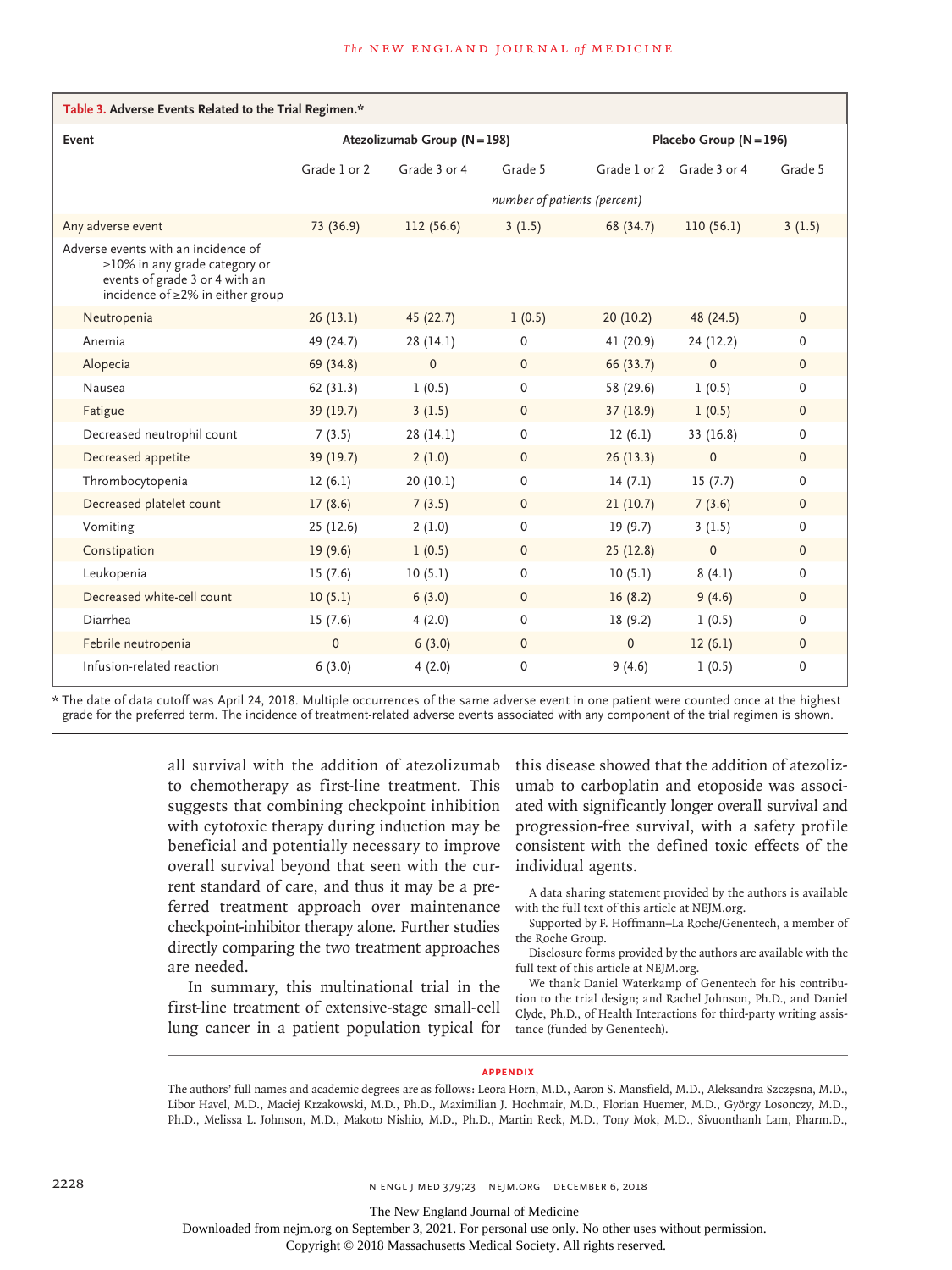| Table 3. Adverse Events Related to the Trial Regimen.*                                                                                           |                              |              |              |                           |              |              |  |  |
|--------------------------------------------------------------------------------------------------------------------------------------------------|------------------------------|--------------|--------------|---------------------------|--------------|--------------|--|--|
| Event                                                                                                                                            | Atezolizumab Group (N = 198) |              |              | Placebo Group $(N = 196)$ |              |              |  |  |
|                                                                                                                                                  | Grade 1 or 2                 | Grade 3 or 4 | Grade 5      | Grade 1 or 2 Grade 3 or 4 |              | Grade 5      |  |  |
|                                                                                                                                                  | number of patients (percent) |              |              |                           |              |              |  |  |
| Any adverse event                                                                                                                                | 73 (36.9)                    | 112 (56.6)   | 3(1.5)       | 68 (34.7)                 | 110(56.1)    | 3(1.5)       |  |  |
| Adverse events with an incidence of<br>$\geq$ 10% in any grade category or<br>events of grade 3 or 4 with an<br>incidence of ≥2% in either group |                              |              |              |                           |              |              |  |  |
| Neutropenia                                                                                                                                      | 26(13.1)                     | 45 (22.7)    | 1(0.5)       | 20(10.2)                  | 48 (24.5)    | $\mathbf{0}$ |  |  |
| Anemia                                                                                                                                           | 49 (24.7)                    | 28 (14.1)    | 0            | 41(20.9)                  | 24 (12.2)    | 0            |  |  |
| Alopecia                                                                                                                                         | 69 (34.8)                    | $\Omega$     | $\mathbf{0}$ | 66 (33.7)                 | $\Omega$     | $\Omega$     |  |  |
| Nausea                                                                                                                                           | 62(31.3)                     | 1(0.5)       | 0            | 58 (29.6)                 | 1(0.5)       | 0            |  |  |
| Fatigue                                                                                                                                          | 39 (19.7)                    | 3(1.5)       | $\mathbf{0}$ | 37(18.9)                  | 1(0.5)       | $\mathbf{0}$ |  |  |
| Decreased neutrophil count                                                                                                                       | 7(3.5)                       | 28 (14.1)    | 0            | 12(6.1)                   | 33 (16.8)    | 0            |  |  |
| Decreased appetite                                                                                                                               | 39 (19.7)                    | 2(1.0)       | $\mathbf{0}$ | 26(13.3)                  | $\mathbf{0}$ | $\Omega$     |  |  |
| Thrombocytopenia                                                                                                                                 | 12(6.1)                      | 20 (10.1)    | $\mathbf 0$  | 14(7.1)                   | 15(7.7)      | 0            |  |  |
| Decreased platelet count                                                                                                                         | 17(8.6)                      | 7(3.5)       | 0            | 21(10.7)                  | 7(3.6)       | $\mathbf{0}$ |  |  |
| Vomiting                                                                                                                                         | 25 (12.6)                    | 2(1.0)       | 0            | 19(9.7)                   | 3(1.5)       | 0            |  |  |
| Constipation                                                                                                                                     | 19(9.6)                      | 1(0.5)       | 0            | 25(12.8)                  | $\mathbf{0}$ | $\Omega$     |  |  |
| Leukopenia                                                                                                                                       | 15(7.6)                      | 10(5.1)      | 0            | 10(5.1)                   | 8(4.1)       | 0            |  |  |
| Decreased white-cell count                                                                                                                       | 10(5.1)                      | 6(3.0)       | $\mathbf{0}$ | 16(8.2)                   | 9(4.6)       | $\Omega$     |  |  |
| Diarrhea                                                                                                                                         | 15(7.6)                      | 4(2.0)       | 0            | 18(9.2)                   | 1(0.5)       | 0            |  |  |
| Febrile neutropenia                                                                                                                              | $\mathbf 0$                  | 6(3.0)       | $\mathbf{0}$ | $\mathbf{0}$              | 12(6.1)      | $\Omega$     |  |  |
| Infusion-related reaction                                                                                                                        | 6(3.0)                       | 4(2.0)       | 0            | 9(4.6)                    | 1(0.5)       | 0            |  |  |

\* The date of data cutoff was April 24, 2018. Multiple occurrences of the same adverse event in one patient were counted once at the highest grade for the preferred term. The incidence of treatment-related adverse events associated with any component of the trial regimen is shown.

> all survival with the addition of atezolizumab to chemotherapy as first-line treatment. This suggests that combining checkpoint inhibition with cytotoxic therapy during induction may be beneficial and potentially necessary to improve overall survival beyond that seen with the current standard of care, and thus it may be a preferred treatment approach over maintenance checkpoint-inhibitor therapy alone. Further studies directly comparing the two treatment approaches are needed.

In summary, this multinational trial in the first-line treatment of extensive-stage small-cell lung cancer in a patient population typical for this disease showed that the addition of atezolizumab to carboplatin and etoposide was associated with significantly longer overall survival and progression-free survival, with a safety profile consistent with the defined toxic effects of the individual agents.

A data sharing statement provided by the authors is available with the full text of this article at NEJM.org.

Supported by F. Hoffmann–La Roche/Genentech, a member of the Roche Group.

Disclosure forms provided by the authors are available with the full text of this article at NEJM.org.

We thank Daniel Waterkamp of Genentech for his contribution to the trial design; and Rachel Johnson, Ph.D., and Daniel Clyde, Ph.D., of Health Interactions for third-party writing assistance (funded by Genentech).

## **Appendix**

The New England Journal of Medicine

Downloaded from nejm.org on September 3, 2021. For personal use only. No other uses without permission.

The authors' full names and academic degrees are as follows: Leora Horn, M.D., Aaron S. Mansfield, M.D., Aleksandra Szczęsna, M.D., Libor Havel, M.D., Maciej Krzakowski, M.D., Ph.D., Maximilian J. Hochmair, M.D., Florian Huemer, M.D., György Losonczy, M.D., Ph.D., Melissa L. Johnson, M.D., Makoto Nishio, M.D., Ph.D., Martin Reck, M.D., Tony Mok, M.D., Sivuonthanh Lam, Pharm.D.,